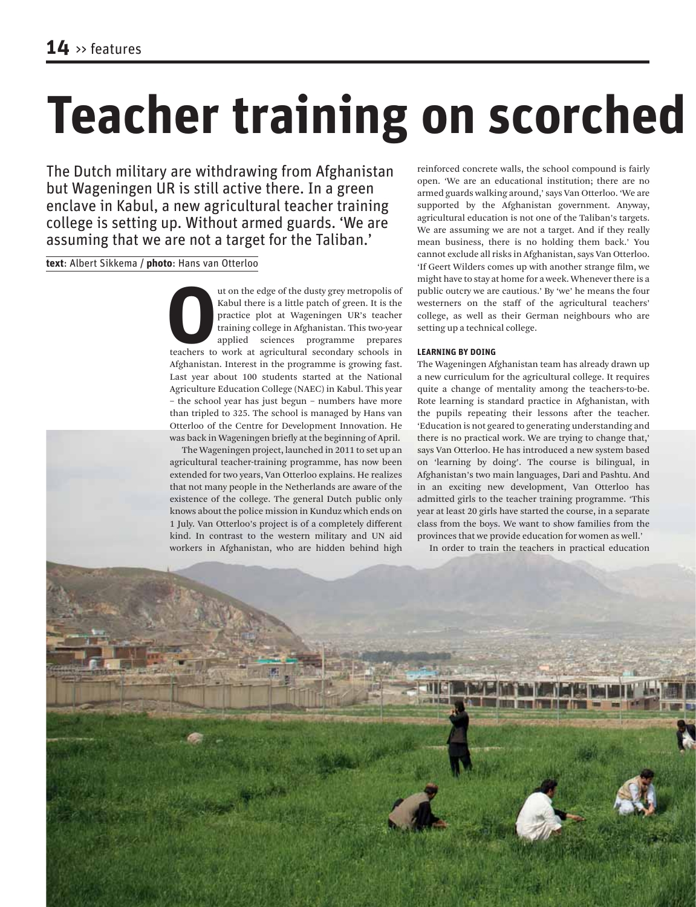# **Teacher training on scorched**

The Dutch military are withdrawing from Afghanistan but Wageningen UR is still active there. In a green enclave in Kabul, a new agricultural teacher training college is setting up. Without armed guards. 'We are assuming that we are not a target for the Taliban.'

**text**: Albert Sikkema / **photo**: Hans van Otterloo

In the edge of the dusty grey metropolis of<br> **EQUE ACC EXECUTE AND THE ENEX**<br>
THE PRECISE TRANSIGNET TRANSIGNER TRANSIGNER TRANSIGNATION SCHOOLS AT A Agricultural secondary schools in<br> **EXECUTE AND TRANSIGNATION** SCHOOLS I Kabul there is a little patch of green. It is the practice plot at Wageningen UR's teacher training college in Afghanistan. This two-year applied sciences programme prepares Afghanistan. Interest in the programme is growing fast. Last year about 100 students started at the National Agriculture Education College (NAEC) in Kabul. This year – the school year has just begun – numbers have more than tripled to 325. The school is managed by Hans van Otterloo of the Centre for Development Innovation. He was back in Wageningen briefly at the beginning of April.

The Wageningen project, launched in 2011 to set up an agricultural teacher-training programme, has now been extended for two years, Van Otterloo explains. He realizes that not many people in the Netherlands are aware of the existence of the college. The general Dutch public only knows about the police mission in Kunduz which ends on 1 July. Van Otterloo's project is of a completely different kind. In contrast to the western military and UN aid workers in Afghanistan, who are hidden behind high

reinforced concrete walls, the school compound is fairly open. 'We are an educational institution; there are no armed guards walking around,' says Van Otterloo. 'We are supported by the Afghanistan government. Anyway, agricultural education is not one of the Taliban's targets. We are assuming we are not a target. And if they really mean business, there is no holding them back.' You cannot exclude all risks in Afghanistan, says Van Otterloo. 'If Geert Wilders comes up with another strange film, we might have to stay at home for a week. Whenever there is a public outcry we are cautious.' By 'we' he means the four westerners on the staff of the agricultural teachers' college, as well as their German neighbours who are setting up a technical college.

## **LEARNING BY DOING**

The Wageningen Afghanistan team has already drawn up a new curriculum for the agricultural college. It requires quite a change of mentality among the teachers-to-be. Rote learning is standard practice in Afghanistan, with the pupils repeating their lessons after the teacher. 'Education is not geared to generating understanding and there is no practical work. We are trying to change that,' says Van Otterloo. He has introduced a new system based on 'learning by doing'. The course is bilingual, in Afghanistan's two main languages, Dari and Pashtu. And in an exciting new development, Van Otterloo has admitted girls to the teacher training programme. 'This year at least 20 girls have started the course, in a separate class from the boys. We want to show families from the provinces that we provide education for women as well.'

In order to train the teachers in practical education